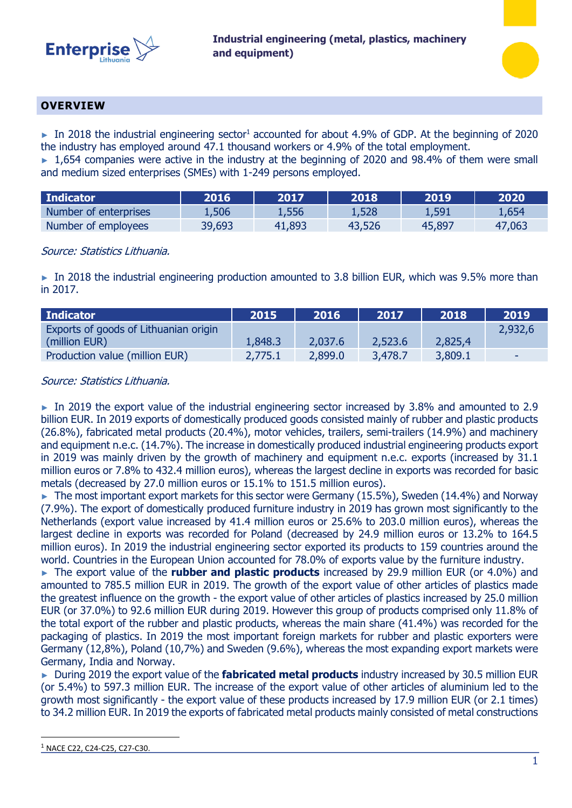



## **OVERVIEW**

 $\blacktriangleright$  In 2018 the industrial engineering sector<sup>1</sup> accounted for about 4.9% of GDP. At the beginning of 2020 the industry has employed around 47.1 thousand workers or 4.9% of the total employment.

► 1,654 companies were active in the industry at the beginning of 2020 and 98.4% of them were small and medium sized enterprises (SMEs) with 1-249 persons employed.

| Indicator             | 2016   | 2017   | 2018   | 2019   | 2020   |
|-----------------------|--------|--------|--------|--------|--------|
| Number of enterprises | 1,506  | 1,556  | 1,528  | 1,591  | 1,654  |
| Number of employees   | 39,693 | 41,893 | 43,526 | 45,897 | 47,063 |

## Source: Statistics Lithuania.

► In 2018 the industrial engineering production amounted to 3.8 billion EUR, which was 9.5% more than in 2017.

| Indicator                             | 2015    | 2016    | 2017    | 2018    | 2019    |
|---------------------------------------|---------|---------|---------|---------|---------|
| Exports of goods of Lithuanian origin |         |         |         |         | 2,932,6 |
| (million EUR)                         | 1,848.3 | 2,037.6 | 2,523.6 | 2,825,4 |         |
| Production value (million EUR)        | 2,775.1 | 2,899.0 | 3,478.7 | 3,809.1 | . .     |

## Source: Statistics Lithuania.

 $\blacktriangleright$  In 2019 the export value of the industrial engineering sector increased by 3.8% and amounted to 2.9 billion EUR. In 2019 exports of domestically produced goods consisted mainly of rubber and plastic products (26.8%), fabricated metal products (20.4%), motor vehicles, trailers, semi-trailers (14.9%) and machinery and equipment n.e.c. (14.7%). The increase in domestically produced industrial engineering products export in 2019 was mainly driven by the growth of machinery and equipment n.e.c. exports (increased by 31.1 million euros or 7.8% to 432.4 million euros), whereas the largest decline in exports was recorded for basic metals (decreased by 27.0 million euros or 15.1% to 151.5 million euros).

► The most important export markets for this sector were Germany (15.5%), Sweden (14.4%) and Norway (7.9%). The export of domestically produced furniture industry in 2019 has grown most significantly to the Netherlands (export value increased by 41.4 million euros or 25.6% to 203.0 million euros), whereas the largest decline in exports was recorded for Poland (decreased by 24.9 million euros or 13.2% to 164.5 million euros). In 2019 the industrial engineering sector exported its products to 159 countries around the world. Countries in the European Union accounted for 78.0% of exports value by the furniture industry.

► The export value of the **rubber and plastic products** increased by 29.9 million EUR (or 4.0%) and amounted to 785.5 million EUR in 2019. The growth of the export value of other articles of plastics made the greatest influence on the growth - the export value of other articles of plastics increased by 25.0 million EUR (or 37.0%) to 92.6 million EUR during 2019. However this group of products comprised only 11.8% of the total export of the rubber and plastic products, whereas the main share (41.4%) was recorded for the packaging of plastics. In 2019 the most important foreign markets for rubber and plastic exporters were Germany (12,8%), Poland (10,7%) and Sweden (9.6%), whereas the most expanding export markets were Germany, India and Norway.

► During 2019 the export value of the **fabricated metal products** industry increased by 30.5 million EUR (or 5.4%) to 597.3 million EUR. The increase of the export value of other articles of aluminium led to the growth most significantly - the export value of these products increased by 17.9 million EUR (or 2.1 times) to 34.2 million EUR. In 2019 the exports of fabricated metal products mainly consisted of metal constructions